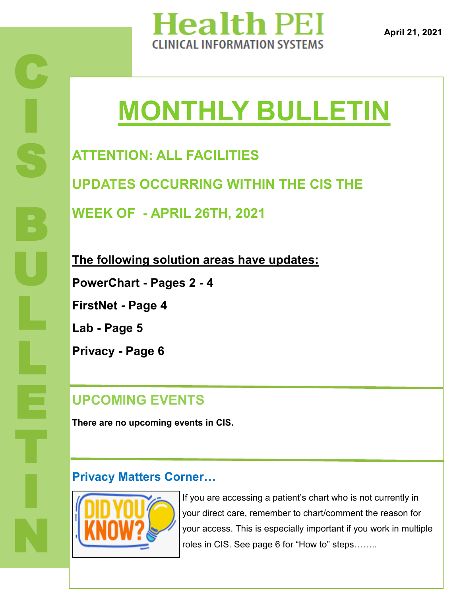

**April 21, 2021**

# **MONTHLY BULLETIN**

**ATTENTION: ALL FACILITIES UPDATES OCCURRING WITHIN THE CIS THE WEEK OF - APRIL 26TH, 2021**

**The following solution areas have updates:**

**PowerChart - Pages 2 - 4**

**FirstNet - Page 4**

**Lab - Page 5**

**Privacy - Page 6**

#### **UPCOMING EVENTS**

**There are no upcoming events in CIS.** 

#### **Privacy Matters Corner…**



If you are accessing a patient's chart who is not currently in your direct care, remember to chart/comment the reason for your access. This is especially important if you work in multiple roles in CIS. See page 6 for "How to" steps……..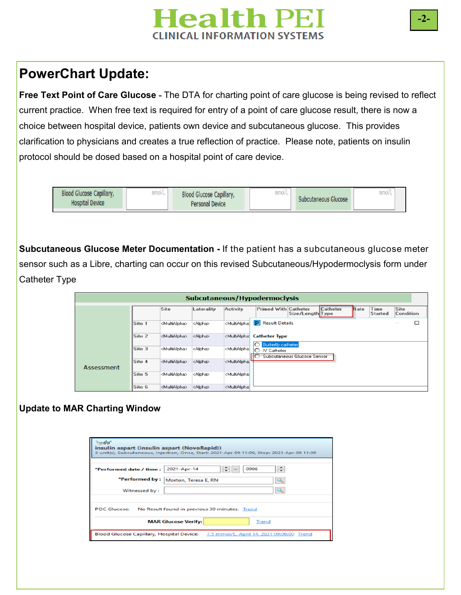## **Health PEI CLINICAL INFORMATION SYSTEMS**

#### **PowerChart Update:**

**Free Text Point of Care Glucose -** The DTA for charting point of care glucose is being revised to reflect current practice. When free text is required for entry of a point of care glucose result, there is now a choice between hospital device, patients own device and subcutaneous glucose. This provides clarification to physicians and creates a true reflection of practice. Please note, patients on insulin protocol should be dosed based on a hospital point of care device.

| Blood Glucose Capillary,<br><b>Hospital Device</b> | <b>MARAZIN</b><br>IIIIUV L | Blood Glucose Capillary,<br>Personal Device | mmol/L | Subcutaneous Glucose | mmol/ |  |
|----------------------------------------------------|----------------------------|---------------------------------------------|--------|----------------------|-------|--|
|                                                    |                            |                                             |        |                      |       |  |

**Subcutaneous Glucose Meter Documentation -** If the patient has a subcutaneous glucose meter sensor such as a Libre, charting can occur on this revised Subcutaneous/Hypodermoclysis form under Catheter Type

|            |        |                           |                 |                                                                                                                                                                       | Subcutaneous/Hypodermoclysis                                                                                              |
|------------|--------|---------------------------|-----------------|-----------------------------------------------------------------------------------------------------------------------------------------------------------------------|---------------------------------------------------------------------------------------------------------------------------|
|            |        | Site                      | Laterality      | <b>Activity</b>                                                                                                                                                       | Catheter<br><b>Primed With Catheter</b><br>Site<br><b>Rate</b><br>Time<br>Size/Length Type<br>Condition<br><b>Started</b> |
|            | Site 1 | <multialpha></multialpha> | <alpha></alpha> | <multialpha:< td=""><td>P.<br/>□<br/><b>Result Details</b><br/>--</td></multialpha:<>                                                                                 | P.<br>□<br><b>Result Details</b><br>--                                                                                    |
|            | Site 2 | <multialpha></multialpha> | <alpha></alpha> | <multialpha:< td=""><td><b>Catheter Type</b></td></multialpha:<>                                                                                                      | <b>Catheter Type</b>                                                                                                      |
|            | Site 3 | <multialpha></multialpha> | <alpha></alpha> | <multialpha:< td=""><td><math>\circ</math><br/><b>Butterfly catheter</b><br/><math>\bigcap</math><br/>IV Catheter<br/>Subcutaneous Glucose Sensor</td></multialpha:<> | $\circ$<br><b>Butterfly catheter</b><br>$\bigcap$<br>IV Catheter<br>Subcutaneous Glucose Sensor                           |
| Assessment | Site 4 | <multialpha></multialpha> | <alpha></alpha> | <multialpha:< td=""><td></td></multialpha:<>                                                                                                                          |                                                                                                                           |
|            | Site 5 | <multialpha></multialpha> | <alpha></alpha> | <multialphat< td=""><td></td></multialphat<>                                                                                                                          |                                                                                                                           |
|            | Site 6 | <multialpha></multialpha> | <alpha></alpha> | <multialpha:< td=""><td></td></multialpha:<>                                                                                                                          |                                                                                                                           |

#### **Update to MAR Charting Window**

| $= 60^{\circ}$<br>insulin aspart (insulin aspart (NovoRapid)) | 3 unit(s), Subcutaneous, Injection, Once, Start: 2021-Apr-09 11:00, Stop: 2021-Apr-09 11:00 |
|---------------------------------------------------------------|---------------------------------------------------------------------------------------------|
|                                                               |                                                                                             |
| *Performed date / time :                                      | $\Rightarrow$ $\sim$<br>≑<br>2021-Apr-14<br>0906                                            |
| *Performed by:                                                | Morton, Teresa E, RN<br>CL.                                                                 |
| Witnessed by:                                                 | Q.                                                                                          |
|                                                               |                                                                                             |
| <b>POC Glucose:</b>                                           | No Result found in previous 30 minutes. Trend                                               |
|                                                               | <b>MAR Glucose Verify:</b><br>Trend                                                         |
|                                                               | Blood Glucose Capillary, Hospital Device: 7.5 mmol/L, April 14, 2021 09:06:00 Trend         |

**-2-**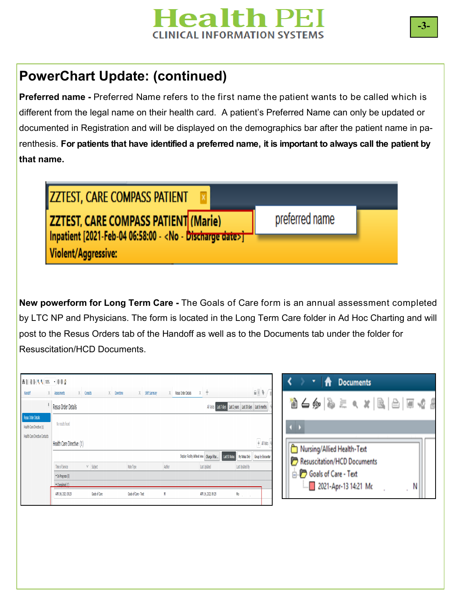

### **PowerChart Update: (continued)**

**Preferred name -** Preferred Name refers to the first name the patient wants to be called which is different from the legal name on their health card. A patient's Preferred Name can only be updated or documented in Registration and will be displayed on the demographics bar after the patient name in parenthesis. **For patients that have identified a preferred name, it is important to always call the patient by that name.** 

preferred name

**ZZTEST, CARE COMPASS PATIENT ZZTEST, CARE COMPASS PATIENT (Marie)** Inpatient [2021-Feb-04 06:58:00 - <No - Discharge date>] Violent/Aggressive:

**New powerform for Long Term Care -** The Goals of Care form is an annual assessment completed by LTC NP and Physicians. The form is located in the Long Term Care folder in Ad Hoc Charting and will post to the Resus Orders tab of the Handoff as well as to the Documents tab under the folder for Resuscitation/HCD Documents.

| ANNA RANDS - 004                                 |                               |                |                               |        |                                                                 |                                                                        | A<br>۳<br><b>Documents</b>  |  |
|--------------------------------------------------|-------------------------------|----------------|-------------------------------|--------|-----------------------------------------------------------------|------------------------------------------------------------------------|-----------------------------|--|
| Handoff                                          | $X$ Consults<br>X Assessments |                | X Downtime<br>X Shift Summary |        | $x +$<br>Resus Order Details                                    | $\mathbb{R} \setminus \mathbb{R}$                                      |                             |  |
|                                                  | <b>Resus Order Details</b>    |                |                               |        |                                                                 | All Visits   Last 7 days   Last 2 years   Last 30 days   Last 6 months | 省6夕 & ミ へ ※   B   B   日 4 8 |  |
| Resus Order Details<br>Health Care Directive (1) | No results found              |                |                               |        |                                                                 |                                                                        |                             |  |
| Health Care Directive Contacts                   | Health Care Directive (1)     |                |                               |        |                                                                 | $+$ Al Visits                                                          | Nursing/Allied Health-Text  |  |
|                                                  |                               |                |                               |        | Display: Facility defined view   Change Filter<br>Last 50 Notes | My Notes Only Group by Encounter                                       |                             |  |
|                                                  | Time of Service               | $\vee$ Subject | Note Type                     | Author | Last Updated                                                    | Last Updated By                                                        | Resuscitation/HCD Documents |  |
|                                                  | * In Progress (0)             |                |                               |        |                                                                 |                                                                        | Goals of Care - Text        |  |
|                                                  | * Comdeted (1)                |                |                               |        |                                                                 |                                                                        | 2021-Apr-13 14:21 Mc<br>N   |  |
|                                                  | APR 14, 2021 09:29            | Goals of Care  | Goals of Care - Text          |        | APR 14, 2021 09:29                                              | Mo <sub>re</sub>                                                       | $\mathbf{u}$                |  |
|                                                  |                               |                |                               |        |                                                                 |                                                                        |                             |  |
|                                                  |                               |                |                               |        |                                                                 |                                                                        |                             |  |
|                                                  |                               |                |                               |        |                                                                 |                                                                        |                             |  |
|                                                  |                               |                |                               |        |                                                                 |                                                                        |                             |  |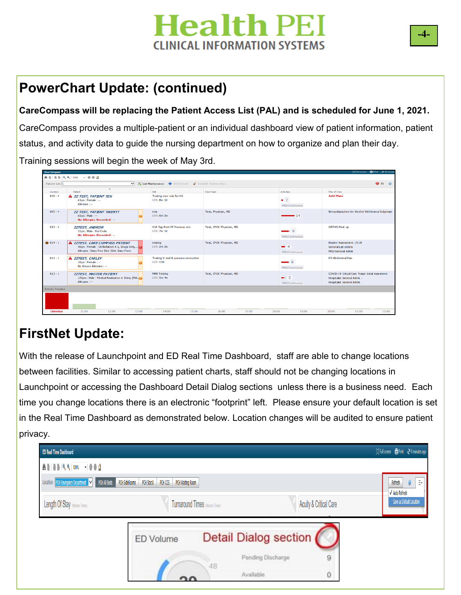## **Health Pl CLINICAL INFORMATION SYSTEMS**

## **PowerChart Update: (continued)**

**CareCompass will be replacing the Patient Access List (PAL) and is scheduled for June 1, 2021.**

CareCompass provides a multiple-patient or an individual dashboard view of patient information, patient status, and activity data to guide the nursing department on how to organize and plan their day.

Training sessions will begin the week of May 3rd.

| <b>ABBRAISS</b> - 000<br>V X List Mantenance + Add Patient & Establish Relationships<br>Patient List: L<br>$\hat{\phantom{a}}$<br>Plan of Care<br>Patient<br>Care Team<br><b>Activities</b><br>Location<br><b>Midt</b><br>Testing new rule for VA<br><b>Add Plans</b><br>$819 - 4$<br>A ZZ TEST, PATIENT TEN<br>$\sqrt{2}$<br>LOS: 8w 1d<br>63yrs   Female   --<br>Allergies   --<br>PRN/Continuous<br>$805 - 4$<br>Test, Physician, MD<br><b>ZZ TEST, PATIENT TWENTY</b><br>test<br>LOS: 6m 2w<br>$\frac{14}{14}$<br>$65$ yrs   Male   $-$<br>No Allergies Recorded   --<br>$823 - 4$<br>V/A flag from PF Previous enc<br>Test, CPOE Physician, MD<br>ORTHO Post op<br><b>ZZTEST, ANDREW</b><br>Q<br>31 vrs   Male   Full Code<br>LOS: 7w 1d<br>No Allergies Recorded   --<br>PRN/Continuous<br>$814 - 1$<br>A ZZTEST, CARE COMPASS PATIENT<br>Test, CPOE Physician, MD<br>Braden Assessment 15-18<br>testing<br>$\equiv$ 4<br>56yrs   Female   Defibrilation X 1, Drugs Only,<br>LOS: 2m 2w<br>General Lab orders<br>Allergies   Dairy Free Diet (Diet Dairy Free)<br><b>MED General Admit</b><br>PRN/Continuous<br>ED Abdominal Pain<br>$811 - 1$<br>Testing V and A previous encounter<br><b>A ZZTEST, CARLEY</b><br>$-8$<br>LOS: 13d<br>10yrs   Female   --<br>No Known Allergies   --<br>PRN/Continuous<br>$813 - 1$<br><b>MRR Testing</b><br>Test, CPOE Physician, MD<br><b>ZZTEST, MASTER PATIENT</b><br>$-5$<br>LOS: 5m 4w<br>120yrs   Male   Medical Assistance in Dying (MA.<br>Hospitalist General Admit.<br>Allergies   --<br>Hospitalist General Admit.<br>PRN/Continuous<br><b>Activity Timeline</b><br>Overdue<br>11:00<br>12:00<br>13:00<br>14:00<br>15:00<br>16:00<br>17:00<br>18:00<br>19:00<br>20:00<br>21:00 |  |  |                                                 |
|-----------------------------------------------------------------------------------------------------------------------------------------------------------------------------------------------------------------------------------------------------------------------------------------------------------------------------------------------------------------------------------------------------------------------------------------------------------------------------------------------------------------------------------------------------------------------------------------------------------------------------------------------------------------------------------------------------------------------------------------------------------------------------------------------------------------------------------------------------------------------------------------------------------------------------------------------------------------------------------------------------------------------------------------------------------------------------------------------------------------------------------------------------------------------------------------------------------------------------------------------------------------------------------------------------------------------------------------------------------------------------------------------------------------------------------------------------------------------------------------------------------------------------------------------------------------------------------------------------------------------------------------------------------------------------------------------------------------------------------|--|--|-------------------------------------------------|
|                                                                                                                                                                                                                                                                                                                                                                                                                                                                                                                                                                                                                                                                                                                                                                                                                                                                                                                                                                                                                                                                                                                                                                                                                                                                                                                                                                                                                                                                                                                                                                                                                                                                                                                                   |  |  |                                                 |
|                                                                                                                                                                                                                                                                                                                                                                                                                                                                                                                                                                                                                                                                                                                                                                                                                                                                                                                                                                                                                                                                                                                                                                                                                                                                                                                                                                                                                                                                                                                                                                                                                                                                                                                                   |  |  | 936                                             |
|                                                                                                                                                                                                                                                                                                                                                                                                                                                                                                                                                                                                                                                                                                                                                                                                                                                                                                                                                                                                                                                                                                                                                                                                                                                                                                                                                                                                                                                                                                                                                                                                                                                                                                                                   |  |  |                                                 |
|                                                                                                                                                                                                                                                                                                                                                                                                                                                                                                                                                                                                                                                                                                                                                                                                                                                                                                                                                                                                                                                                                                                                                                                                                                                                                                                                                                                                                                                                                                                                                                                                                                                                                                                                   |  |  |                                                 |
|                                                                                                                                                                                                                                                                                                                                                                                                                                                                                                                                                                                                                                                                                                                                                                                                                                                                                                                                                                                                                                                                                                                                                                                                                                                                                                                                                                                                                                                                                                                                                                                                                                                                                                                                   |  |  | Benzodiazepines for Alcohol Withdrawal Subphase |
|                                                                                                                                                                                                                                                                                                                                                                                                                                                                                                                                                                                                                                                                                                                                                                                                                                                                                                                                                                                                                                                                                                                                                                                                                                                                                                                                                                                                                                                                                                                                                                                                                                                                                                                                   |  |  |                                                 |
|                                                                                                                                                                                                                                                                                                                                                                                                                                                                                                                                                                                                                                                                                                                                                                                                                                                                                                                                                                                                                                                                                                                                                                                                                                                                                                                                                                                                                                                                                                                                                                                                                                                                                                                                   |  |  |                                                 |
|                                                                                                                                                                                                                                                                                                                                                                                                                                                                                                                                                                                                                                                                                                                                                                                                                                                                                                                                                                                                                                                                                                                                                                                                                                                                                                                                                                                                                                                                                                                                                                                                                                                                                                                                   |  |  |                                                 |
|                                                                                                                                                                                                                                                                                                                                                                                                                                                                                                                                                                                                                                                                                                                                                                                                                                                                                                                                                                                                                                                                                                                                                                                                                                                                                                                                                                                                                                                                                                                                                                                                                                                                                                                                   |  |  | COVID-19 Critical Care Traige Initial Assesment |
|                                                                                                                                                                                                                                                                                                                                                                                                                                                                                                                                                                                                                                                                                                                                                                                                                                                                                                                                                                                                                                                                                                                                                                                                                                                                                                                                                                                                                                                                                                                                                                                                                                                                                                                                   |  |  |                                                 |
|                                                                                                                                                                                                                                                                                                                                                                                                                                                                                                                                                                                                                                                                                                                                                                                                                                                                                                                                                                                                                                                                                                                                                                                                                                                                                                                                                                                                                                                                                                                                                                                                                                                                                                                                   |  |  |                                                 |
|                                                                                                                                                                                                                                                                                                                                                                                                                                                                                                                                                                                                                                                                                                                                                                                                                                                                                                                                                                                                                                                                                                                                                                                                                                                                                                                                                                                                                                                                                                                                                                                                                                                                                                                                   |  |  | 22:00                                           |

## **FirstNet Update:**

With the release of Launchpoint and ED Real Time Dashboard, staff are able to change locations between facilities. Similar to accessing patient charts, staff should not be changing locations in Launchpoint or accessing the Dashboard Detail Dialog sections unless there is a business need. Each time you change locations there is an electronic "footprint" left. Please ensure your default location is set in the Real Time Dashboard as demonstrated below. Location changes will be audited to ensure patient privacy.

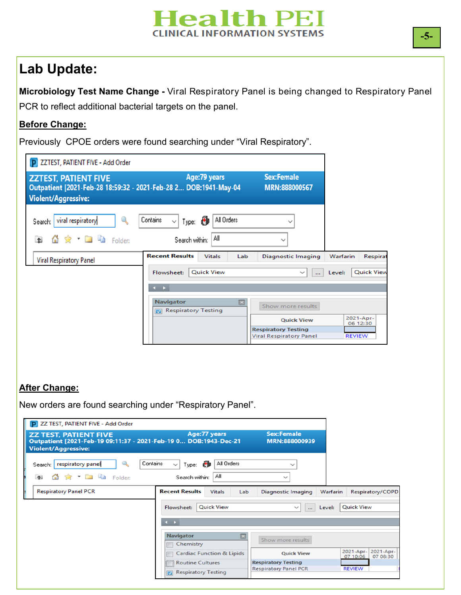#### **Health PEI CLINICAL INFORMATION SYSTEMS**

### **Lab Update:**

**Microbiology Test Name Change -** Viral Respiratory Panel is being changed to Respiratory Panel PCR to reflect additional bacterial targets on the panel.

#### **Before Change:**

Previously CPOE orders were found searching under "Viral Respiratory".

| <b>P ZZTEST, PATIENT FIVE - Add Order</b>                                                                                     |                                                                               |                                                              |                             |
|-------------------------------------------------------------------------------------------------------------------------------|-------------------------------------------------------------------------------|--------------------------------------------------------------|-----------------------------|
| <b>ZZTEST, PATIENT FIVE</b><br>Outpatient [2021-Feb-28 18:59:32 - 2021-Feb-28 2 DOB:1941-May-04<br><b>Violent/Aggressive:</b> | Age: 79 years                                                                 | <b>Sex:Female</b><br>MRN:888000567                           |                             |
| viral respiratory<br>$\mathbb{Q}$<br>Search:<br>$\frac{1}{2}$ Table Folder:<br>$\uparrow$                                     | All Orders<br>Contains<br>ð<br>Type:<br>$\checkmark$<br>Αll<br>Search within: | $\checkmark$<br>$\checkmark$                                 |                             |
| <b>Viral Respiratory Panel</b>                                                                                                | <b>Recent Results</b><br><b>Vitals</b><br>Lab                                 | Diagnostic Imaging                                           | Warfarin<br>Respirat        |
|                                                                                                                               | <b>Ouick View</b><br>Flowsheet:                                               | $\check{~}$<br>                                              | <b>Ouick View</b><br>Level: |
|                                                                                                                               | $\leftarrow$                                                                  |                                                              |                             |
|                                                                                                                               | <b>Navigator</b><br>⊠<br>Respiratory Testing                                  | Show more results                                            |                             |
|                                                                                                                               |                                                                               | <b>Quick View</b>                                            | 2021-Apr-<br>06 12:30       |
|                                                                                                                               |                                                                               | <b>Respiratory Testing</b><br><b>Viral Respiratory Panel</b> | <b>REVIEW</b>               |

#### **After Change:**

New orders are found searching under "Respiratory Panel".

| <b>ZZ TEST, PATIENT FIVE</b><br>Outpatient [2021-Feb-19 09:11:37 - 2021-Feb-19 0 DOB:1943-Dec-21<br><b>Violent/Aggressive:</b> | Age: 77 years                                                                                    | <b>Sex:Female</b><br>MRN:888000939                                              |                                       |
|--------------------------------------------------------------------------------------------------------------------------------|--------------------------------------------------------------------------------------------------|---------------------------------------------------------------------------------|---------------------------------------|
| $\mathbb{Q}_2$<br>respiratory panel<br>Search:  <br>☆ - ■ ■<br>$\uparrow$<br>Folder:<br>GT.                                    | Contains<br>All Orders<br>Ð<br>$\checkmark$<br>Type:<br>Αll<br>Search within:                    | $\checkmark$<br>$\checkmark$                                                    |                                       |
| <b>Respiratory Panel PCR</b>                                                                                                   | <b>Recent Results</b><br><b>Vitals</b><br>Lab<br><b>Quick View</b><br>Flowsheet:<br>$\leftarrow$ | <b>Diagnostic Imaging</b><br>Warfarin<br>Level:<br>$\checkmark$<br>$\cdots$     | Respiratory/COPD<br><b>Quick View</b> |
|                                                                                                                                | Navigator<br>Chemistry                                                                           | Show more results                                                               | 2021-Apr-<br>2021-Apr-                |
|                                                                                                                                | <b>Cardiac Function &amp; Lipids</b><br><b>Routine Cultures</b>                                  | <b>Quick View</b><br><b>Respiratory Testing</b><br><b>Respiratory Panel PCR</b> | 07 08:30<br>07 10:06<br><b>REVIEW</b> |